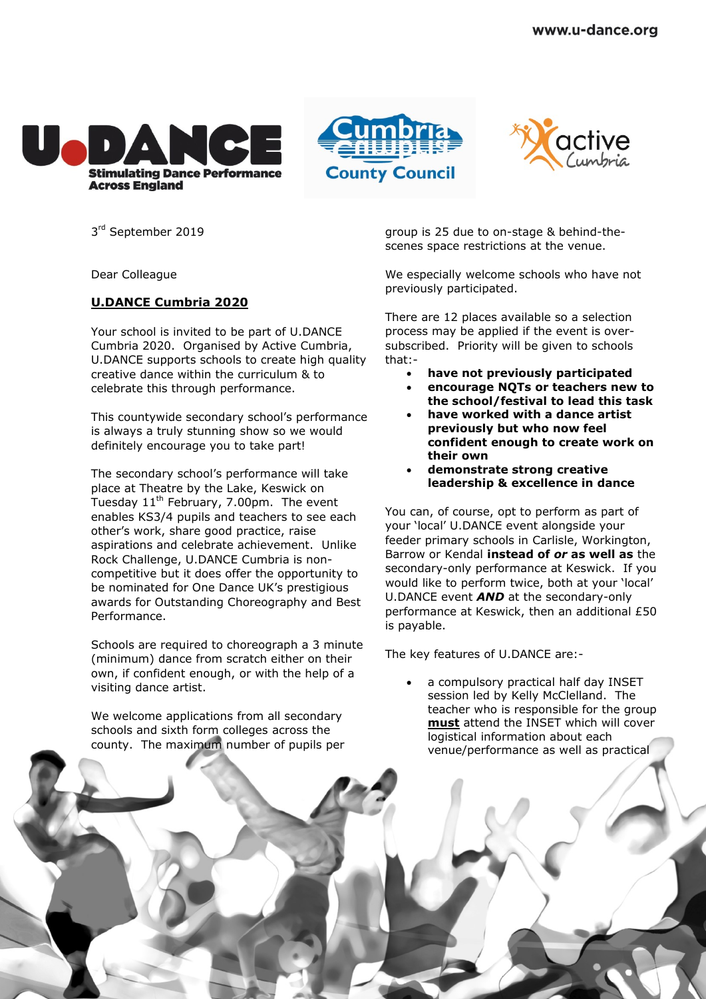





3<sup>rd</sup> September 2019

Dear Colleague

## **U.DANCE Cumbria 2020**

Your school is invited to be part of U.DANCE Cumbria 2020. Organised by Active Cumbria, U.DANCE supports schools to create high quality creative dance within the curriculum & to celebrate this through performance.

This countywide secondary school's performance is always a truly stunning show so we would definitely encourage you to take part!

The secondary school's performance will take place at Theatre by the Lake, Keswick on Tuesday  $11<sup>th</sup>$  February, 7.00pm. The event enables KS3/4 pupils and teachers to see each other's work, share good practice, raise aspirations and celebrate achievement. Unlike Rock Challenge, U.DANCE Cumbria is noncompetitive but it does offer the opportunity to be nominated for One Dance UK's prestigious awards for Outstanding Choreography and Best Performance.

Schools are required to choreograph a 3 minute (minimum) dance from scratch either on their own, if confident enough, or with the help of a visiting dance artist.

We welcome applications from all secondary schools and sixth form colleges across the county. The maximum number of pupils per group is 25 due to on-stage & behind-thescenes space restrictions at the venue.

We especially welcome schools who have not previously participated.

There are 12 places available so a selection process may be applied if the event is oversubscribed. Priority will be given to schools that:-

- **have not previously participated**
- **encourage NQTs or teachers new to the school/festival to lead this task**
- **have worked with a dance artist previously but who now feel confident enough to create work on their own**
- **demonstrate strong creative leadership & excellence in dance**

You can, of course, opt to perform as part of your 'local' U.DANCE event alongside your feeder primary schools in Carlisle, Workington, Barrow or Kendal **instead of** *or* **as well as** the secondary-only performance at Keswick. If you would like to perform twice, both at your 'local' U.DANCE event *AND* at the secondary-only performance at Keswick, then an additional £50 is payable.

The key features of U.DANCE are:-

 a compulsory practical half day INSET session led by Kelly McClelland. The teacher who is responsible for the group **must** attend the INSET which will cover logistical information about each venue/performance as well as practical